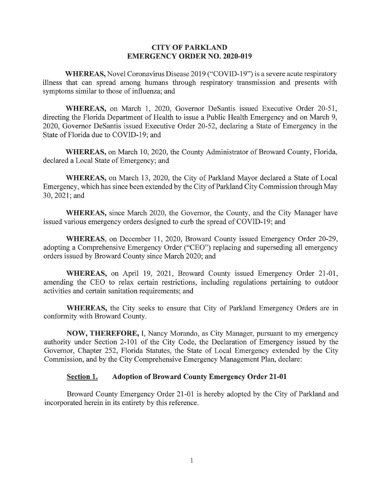## **CITY OF PARKLAND EMERGENCY ORDER NO. 2020-019**

**WHEREAS,** Novel Coronavirus Disease 2019 ("COVID-19") is a severe acute respiratory illness that can spread among humans through respiratory transmission and presents with symptoms similar to those of influenza; and

**WHEREAS,** on March 1, 2020, Governor DeSantis issued Executive Order 20-51, directing the Florida Department of Health to issue a Public Health Emergency and on March 9, 2020, Governor DeSantis issued Executive Order 20-52, declaring a State of Emergency in the State of Florida due to COVID-19; and

**WHEREAS,** on March 10, 2020, the County Administrator of Broward County, Florida, declared a Local State of Emergency; and

**WHEREAS,** on March 13, 2020, the City of Parkland Mayor declared a State of Local Emergency, which has since been extended by the City of Parkland City Commission through May 30, 2021;and

**WHEREAS,** since March 2020, the Governor, the County, and the City Manager have issued various emergency orders designed to curb the spread of COVID-19; and

WHEREAS, on December 11, 2020, Broward County issued Emergency Order 20-29, adopting a Comprehensive Emergency Order ("CEO") replacing and superseding all emergency orders issued by Broward County since March 2020; and

WHEREAS, on April 19, 2021, Broward County issued Emergency Order 21-01, amending the CEO to relax certain restrictions, including regulations pertaining to outdoor activities and certain sanitation requirements; and

**WHEREAS,** the City seeks to ensure that City of Parkland Emergency Orders are in conformity with Broward County.

**NOW, THEREFORE,** I, Nancy Morando, as City Manager, pursuant to my emergency authority under Section 2-101 of the City Code, the Declaration of Emergency issued by the Governor, Chapter 252, Florida Statutes, the State of Local Emergency extended by the City Commission, and by the City Comprehensive Emergency Management Plan, declare:

## **Section 1. Adoption of Broward County Emergency Order 21-01**

Broward County Emergency Order 21-01 is hereby adopted by the City of Parkland and incorporated herein in its entirety by this reference.